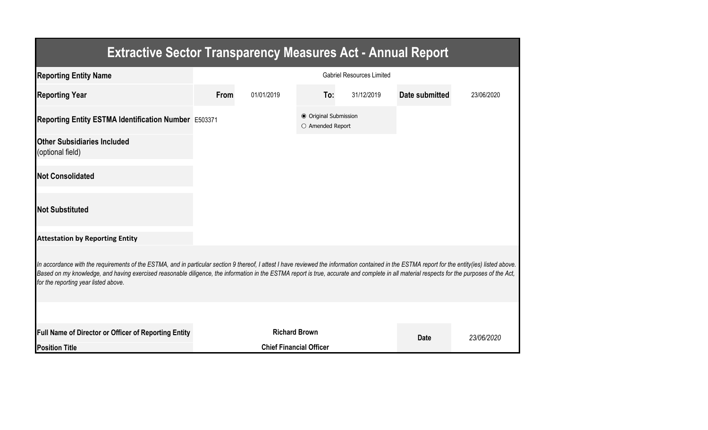| <b>Extractive Sector Transparency Measures Act - Annual Report</b>                                                                                                                                                                                                                                                                                                                                                                    |                                  |                                |                                           |            |                |            |
|---------------------------------------------------------------------------------------------------------------------------------------------------------------------------------------------------------------------------------------------------------------------------------------------------------------------------------------------------------------------------------------------------------------------------------------|----------------------------------|--------------------------------|-------------------------------------------|------------|----------------|------------|
| <b>Reporting Entity Name</b>                                                                                                                                                                                                                                                                                                                                                                                                          | <b>Gabriel Resources Limited</b> |                                |                                           |            |                |            |
| <b>Reporting Year</b>                                                                                                                                                                                                                                                                                                                                                                                                                 | From                             | 01/01/2019                     | To:                                       | 31/12/2019 | Date submitted | 23/06/2020 |
| Reporting Entity ESTMA Identification Number E503371                                                                                                                                                                                                                                                                                                                                                                                  |                                  |                                | ● Original Submission<br>O Amended Report |            |                |            |
| <b>Other Subsidiaries Included</b><br>(optional field)                                                                                                                                                                                                                                                                                                                                                                                |                                  |                                |                                           |            |                |            |
| <b>Not Consolidated</b>                                                                                                                                                                                                                                                                                                                                                                                                               |                                  |                                |                                           |            |                |            |
| <b>Not Substituted</b>                                                                                                                                                                                                                                                                                                                                                                                                                |                                  |                                |                                           |            |                |            |
| <b>Attestation by Reporting Entity</b>                                                                                                                                                                                                                                                                                                                                                                                                |                                  |                                |                                           |            |                |            |
| In accordance with the requirements of the ESTMA, and in particular section 9 thereof, I attest I have reviewed the information contained in the ESTMA report for the entity(ies) listed above.<br>Based on my knowledge, and having exercised reasonable diligence, the information in the ESTMA report is true, accurate and complete in all material respects for the purposes of the Act,<br>for the reporting year listed above. |                                  |                                |                                           |            |                |            |
|                                                                                                                                                                                                                                                                                                                                                                                                                                       |                                  |                                |                                           |            |                |            |
| <b>Full Name of Director or Officer of Reporting Entity</b>                                                                                                                                                                                                                                                                                                                                                                           |                                  | <b>Richard Brown</b>           |                                           |            | <b>Date</b>    | 23/06/2020 |
| <b>Position Title</b>                                                                                                                                                                                                                                                                                                                                                                                                                 |                                  | <b>Chief Financial Officer</b> |                                           |            |                |            |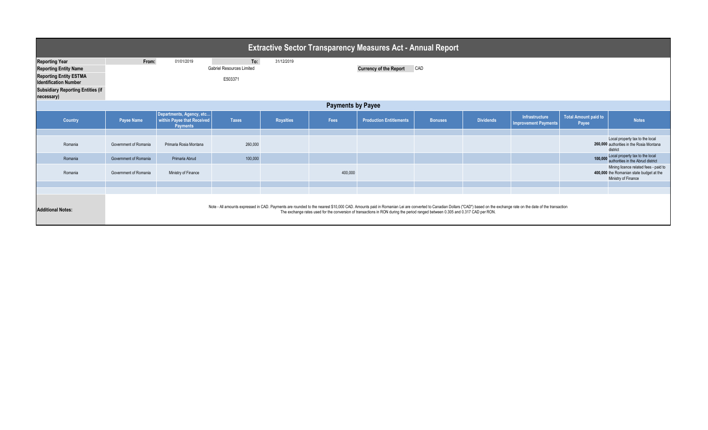|                                                                                                                                                                                                                                                               | <b>Extractive Sector Transparency Measures Act - Annual Report</b> |                                                                                                                                                                                                                                                                                                                                                            |                                                                           |              |                                      |         |                                |                |                  |                                               |                                      |                                                                                                          |
|---------------------------------------------------------------------------------------------------------------------------------------------------------------------------------------------------------------------------------------------------------------|--------------------------------------------------------------------|------------------------------------------------------------------------------------------------------------------------------------------------------------------------------------------------------------------------------------------------------------------------------------------------------------------------------------------------------------|---------------------------------------------------------------------------|--------------|--------------------------------------|---------|--------------------------------|----------------|------------------|-----------------------------------------------|--------------------------------------|----------------------------------------------------------------------------------------------------------|
| From:<br>To:<br><b>Reporting Year</b><br>01/01/2019<br><b>Gabriel Resources Limited</b><br><b>Reporting Entity Name</b><br><b>Reporting Entity ESTMA</b><br>E503371<br><b>Identification Number</b><br><b>Subsidiary Reporting Entities (if</b><br>necessary) |                                                                    |                                                                                                                                                                                                                                                                                                                                                            |                                                                           | 31/12/2019   | <b>Currency of the Report</b><br>CAD |         |                                |                |                  |                                               |                                      |                                                                                                          |
|                                                                                                                                                                                                                                                               |                                                                    | <b>Payments by Payee</b>                                                                                                                                                                                                                                                                                                                                   |                                                                           |              |                                      |         |                                |                |                  |                                               |                                      |                                                                                                          |
|                                                                                                                                                                                                                                                               | Country                                                            | <b>Payee Name</b>                                                                                                                                                                                                                                                                                                                                          | Departments, Agency, etc<br>within Payee that Received<br><b>Payments</b> | <b>Taxes</b> | <b>Royalties</b>                     | Fees    | <b>Production Entitlements</b> | <b>Bonuses</b> | <b>Dividends</b> | Infrastructure<br><b>Improvement Payments</b> | <b>Total Amount paid to</b><br>Payee | <b>Notes</b>                                                                                             |
|                                                                                                                                                                                                                                                               |                                                                    |                                                                                                                                                                                                                                                                                                                                                            |                                                                           |              |                                      |         |                                |                |                  |                                               |                                      |                                                                                                          |
|                                                                                                                                                                                                                                                               | Romania                                                            | Government of Romania                                                                                                                                                                                                                                                                                                                                      | Primaria Rosia Montana                                                    | 260,000      |                                      |         |                                |                |                  |                                               |                                      | Local property tax to the local<br>260,000 authorities in the Rosia Montana<br>district                  |
|                                                                                                                                                                                                                                                               | Romania                                                            | Government of Romania                                                                                                                                                                                                                                                                                                                                      | Primaria Abrud                                                            | 100,000      |                                      |         |                                |                |                  |                                               | 100.00                               | Local property tax to the local<br>authorities in the Abrud district                                     |
|                                                                                                                                                                                                                                                               | Romania                                                            | Government of Romania                                                                                                                                                                                                                                                                                                                                      | Ministry of Finance                                                       |              |                                      | 400,000 |                                |                |                  |                                               |                                      | Mining licence related fees - paid to<br>400,000 the Romanian state budget at the<br>Ministry of Finance |
|                                                                                                                                                                                                                                                               |                                                                    |                                                                                                                                                                                                                                                                                                                                                            |                                                                           |              |                                      |         |                                |                |                  |                                               |                                      |                                                                                                          |
|                                                                                                                                                                                                                                                               | <b>Additional Notes:</b>                                           | Note - All amounts expressed in CAD. Payments are rounded to the nearest \$10,000 CAD. Amounts paid in Romanian Lei are converted to Canadian Dollars ("CAD") based on the exchange rate on the date of the transaction<br>The exchange rates used for the conversion of transactions in RON during the period ranged between 0.305 and 0.317 CAD per RON. |                                                                           |              |                                      |         |                                |                |                  |                                               |                                      |                                                                                                          |